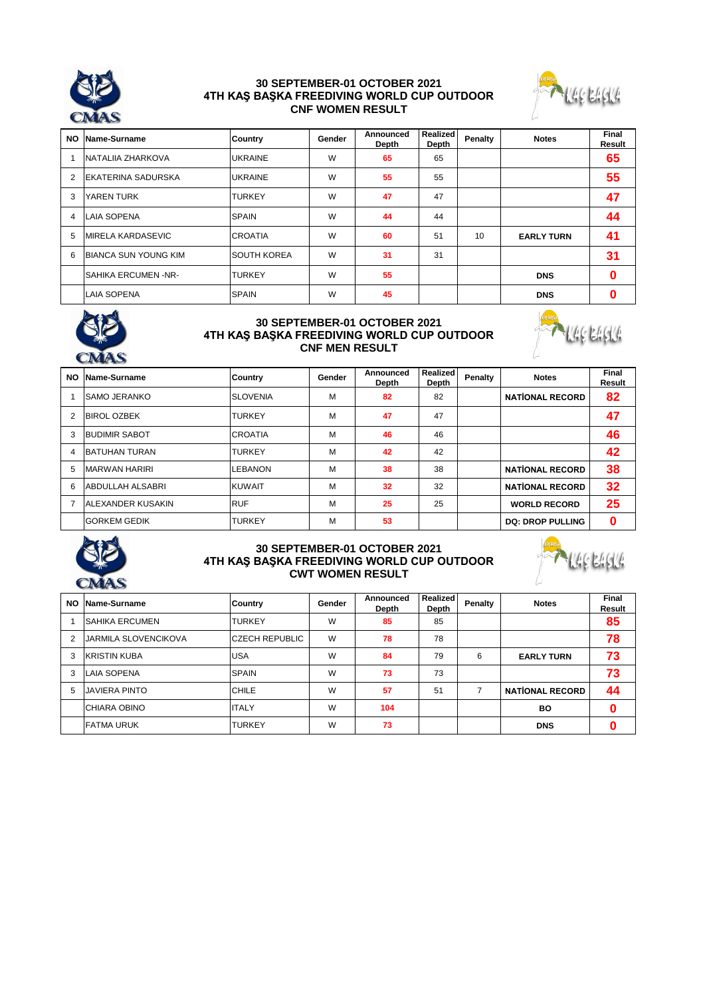

# **30 SEPTEMBER-01 OCTOBER 2021 4TH KAŞ BAŞKA FREEDIVING WORLD CUP OUTDOOR CNF WOMEN RESULT**



| NO             | Name-Surname                | Country            | Gender | Announced<br><b>Depth</b> | <b>Realized</b><br>Depth | Penalty | <b>Notes</b>      | Final<br>Result |
|----------------|-----------------------------|--------------------|--------|---------------------------|--------------------------|---------|-------------------|-----------------|
|                | NATALIIA ZHARKOVA           | <b>UKRAINE</b>     | W      | 65                        | 65                       |         |                   | 65              |
| $\overline{2}$ | EKATERINA SADURSKA          | <b>UKRAINE</b>     | W      | 55                        | 55                       |         |                   | 55              |
| 3              | YAREN TURK                  | <b>TURKEY</b>      | W      | 47                        | 47                       |         |                   | 47              |
| 4              | <b>LAIA SOPENA</b>          | <b>SPAIN</b>       | W      | 44                        | 44                       |         |                   | 44              |
| 5              | IMIRELA KARDASEVIC          | <b>CROATIA</b>     | W      | 60                        | 51                       | 10      | <b>EARLY TURN</b> | 41              |
| 6              | <b>BIANCA SUN YOUNG KIM</b> | <b>SOUTH KOREA</b> | W      | 31                        | 31                       |         |                   | 31              |
|                | <b>SAHIKA ERCUMEN -NR-</b>  | <b>TURKEY</b>      | W      | 55                        |                          |         | <b>DNS</b>        | 0               |
|                | <b>LAIA SOPENA</b>          | <b>SPAIN</b>       | W      | 45                        |                          |         | <b>DNS</b>        |                 |



## **30 SEPTEMBER-01 OCTOBER 2021 4TH KAŞ BAŞKA FREEDIVING WORLD CUP OUTDOOR CNF MEN RESULT**



| <b>NO</b> | Name-Surname             | Country         | Gender | Announced<br><b>Depth</b> | Realized<br><b>Depth</b> | Penalty | <b>Notes</b>            | Final<br>Result |
|-----------|--------------------------|-----------------|--------|---------------------------|--------------------------|---------|-------------------------|-----------------|
|           | <b>ISAMO JERANKO</b>     | <b>SLOVENIA</b> | М      | 82                        | 82                       |         | <b>NATIONAL RECORD</b>  | 82              |
| 2         | <b>BIROL OZBEK</b>       | <b>TURKEY</b>   | М      | 47                        | 47                       |         |                         | 47              |
| 3         | <b>BUDIMIR SABOT</b>     | <b>CROATIA</b>  | М      | 46                        | 46                       |         |                         | 46              |
| 4         | <b>BATUHAN TURAN</b>     | <b>TURKEY</b>   | м      | 42                        | 42                       |         |                         | 42              |
| 5         | MARWAN HARIRI            | <b>LEBANON</b>  | M      | 38                        | 38                       |         | <b>NATIONAL RECORD</b>  | 38              |
| 6         | <b>ABDULLAH ALSABRI</b>  | <b>KUWAIT</b>   | М      | 32                        | 32                       |         | <b>NATIONAL RECORD</b>  | 32              |
| 7         | <b>ALEXANDER KUSAKIN</b> | <b>RUF</b>      | М      | 25                        | 25                       |         | <b>WORLD RECORD</b>     | 25              |
|           | <b>GORKEM GEDIK</b>      | <b>TURKEY</b>   | M      | 53                        |                          |         | <b>DQ: DROP PULLING</b> | 0               |



### **30 SEPTEMBER-01 OCTOBER 2021 4TH KAŞ BAŞKA FREEDIVING WORLD CUP OUTDOOR CWT WOMEN RESULT**



| <b>NO</b>      | Name-Surname          | <b>Country</b>  | Gender | Announced<br><b>Depth</b> | <b>Realized</b><br>Depth | Penalty | <b>Notes</b>           | Final<br>Result |
|----------------|-----------------------|-----------------|--------|---------------------------|--------------------------|---------|------------------------|-----------------|
|                | <b>SAHIKA ERCUMEN</b> | <b>TURKEY</b>   | W      | 85                        | 85                       |         |                        | 85              |
| $\overline{2}$ | IJARMILA SLOVENCIKOVA | ICZECH REPUBLIC | W      | 78                        | 78                       |         |                        | 78              |
| 3              | <b>KRISTIN KUBA</b>   | <b>IUSA</b>     | W      | 84                        | 79                       | 6       | <b>EARLY TURN</b>      | 73              |
| 3              | LAIA SOPENA           | <b>SPAIN</b>    | W      | 73                        | 73                       |         |                        | 73              |
| 5              | <b>JAVIERA PINTO</b>  | CHILE           | W      | 57                        | 51                       |         | <b>NATIONAL RECORD</b> | 44              |
|                | <b>CHIARA OBINO</b>   | <b>ITALY</b>    | W      | 104                       |                          |         | <b>BO</b>              | ი               |
|                | <b>FATMA URUK</b>     | <b>TURKEY</b>   | W      | 73                        |                          |         | <b>DNS</b>             | Λ               |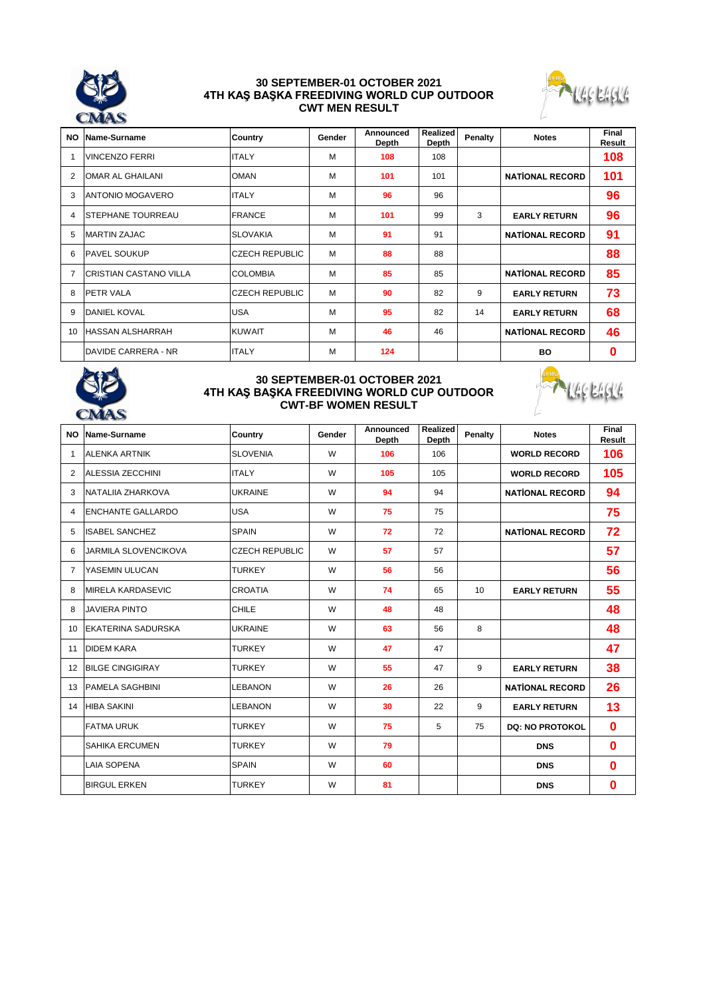

### **30 SEPTEMBER-01 OCTOBER 2021 4TH KAŞ BAŞKA FREEDIVING WORLD CUP OUTDOOR CWT MEN RESULT**



| <b>NO</b>      | Name-Surname                  | <b>Country</b>        | Gender | Announced<br><b>Depth</b> | <b>Realized</b><br>Depth | Penalty | <b>Notes</b>           | Final<br>Result |
|----------------|-------------------------------|-----------------------|--------|---------------------------|--------------------------|---------|------------------------|-----------------|
|                | <b>VINCENZO FERRI</b>         | <b>ITALY</b>          | M      | 108                       | 108                      |         |                        | 108             |
| $\overline{2}$ | <b>OMAR AL GHAILANI</b>       | <b>OMAN</b>           | M      | 101                       | 101                      |         | <b>NATIONAL RECORD</b> | 101             |
| 3              | ANTONIO MOGAVERO              | <b>ITALY</b>          | M      | 96                        | 96                       |         |                        | 96              |
| 4              | <b>STEPHANE TOURREAU</b>      | <b>FRANCE</b>         | M      | 101                       | 99                       | 3       | <b>EARLY RETURN</b>    | 96              |
| 5              | MARTIN ZAJAC                  | <b>SLOVAKIA</b>       | M      | 91                        | 91                       |         | <b>NATIONAL RECORD</b> | 91              |
| 6              | <b>PAVEL SOUKUP</b>           | <b>CZECH REPUBLIC</b> | M      | 88                        | 88                       |         |                        | 88              |
| $\overline{7}$ | <b>CRISTIAN CASTANO VILLA</b> | <b>COLOMBIA</b>       | M      | 85                        | 85                       |         | <b>NATIONAL RECORD</b> | 85              |
| 8              | <b>PETR VALA</b>              | <b>CZECH REPUBLIC</b> | M      | 90                        | 82                       | 9       | <b>EARLY RETURN</b>    | 73              |
| 9              | <b>DANIEL KOVAL</b>           | <b>USA</b>            | M      | 95                        | 82                       | 14      | <b>EARLY RETURN</b>    | 68              |
| 10             | <b>HASSAN ALSHARRAH</b>       | <b>KUWAIT</b>         | M      | 46                        | 46                       |         | <b>NATIONAL RECORD</b> | 46              |
|                | <b>IDAVIDE CARRERA - NR</b>   | <b>ITALY</b>          | M      | 124                       |                          |         | BO.                    | $\bf{0}$        |



### **30 SEPTEMBER-01 OCTOBER 2021 4TH KAŞ BAŞKA FREEDIVING WORLD CUP OUTDOOR CWT-BF WOMEN RESULT**



| <b>NO</b> | Name-Surname                | Country               | Gender | Announced<br><b>Depth</b> | Realized<br><b>Depth</b> | Penalty | <b>Notes</b>           | Final<br>Result |
|-----------|-----------------------------|-----------------------|--------|---------------------------|--------------------------|---------|------------------------|-----------------|
| 1         | <b>ALENKA ARTNIK</b>        | <b>SLOVENIA</b>       | W      | 106                       | 106                      |         | <b>WORLD RECORD</b>    | 106             |
| 2         | <b>ALESSIA ZECCHINI</b>     | <b>ITALY</b>          | W      | 105                       | 105                      |         | <b>WORLD RECORD</b>    | 105             |
| 3         | NATALIIA ZHARKOVA           | <b>UKRAINE</b>        | W      | 94                        | 94                       |         | <b>NATIONAL RECORD</b> | 94              |
| 4         | <b>ENCHANTE GALLARDO</b>    | <b>USA</b>            | W      | 75                        | 75                       |         |                        | 75              |
| 5         | <b>ISABEL SANCHEZ</b>       | <b>SPAIN</b>          | W      | 72                        | 72                       |         | <b>NATIONAL RECORD</b> | 72              |
| 6         | <b>JARMILA SLOVENCIKOVA</b> | <b>CZECH REPUBLIC</b> | W      | 57                        | 57                       |         |                        | 57              |
| 7         | YASEMIN ULUCAN              | <b>TURKEY</b>         | W      | 56                        | 56                       |         |                        | 56              |
| 8         | <b>MIRELA KARDASEVIC</b>    | <b>CROATIA</b>        | W      | 74                        | 65                       | 10      | <b>EARLY RETURN</b>    | 55              |
| 8         | <b>JAVIERA PINTO</b>        | CHILE                 | W      | 48                        | 48                       |         |                        | 48              |
| 10        | <b>EKATERINA SADURSKA</b>   | <b>UKRAINE</b>        | W      | 63                        | 56                       | 8       |                        | 48              |
| 11        | <b>DIDEM KARA</b>           | <b>TURKEY</b>         | W      | 47                        | 47                       |         |                        | 47              |
| 12        | <b>BILGE CINGIGIRAY</b>     | <b>TURKEY</b>         | W      | 55                        | 47                       | 9       | <b>EARLY RETURN</b>    | 38              |
| 13        | <b>PAMELA SAGHBINI</b>      | <b>LEBANON</b>        | W      | 26                        | 26                       |         | <b>NATIONAL RECORD</b> | 26              |
| 14        | <b>HIBA SAKINI</b>          | <b>LEBANON</b>        | W      | 30                        | 22                       | 9       | <b>EARLY RETURN</b>    | 13              |
|           | <b>FATMA URUK</b>           | <b>TURKEY</b>         | W      | 75                        | 5                        | 75      | <b>DQ: NO PROTOKOL</b> | $\bf{0}$        |
|           | <b>SAHIKA ERCUMEN</b>       | <b>TURKEY</b>         | W      | 79                        |                          |         | <b>DNS</b>             | $\bf{0}$        |
|           | <b>LAIA SOPENA</b>          | <b>SPAIN</b>          | W      | 60                        |                          |         | <b>DNS</b>             | $\bf{0}$        |
|           | <b>BIRGUL ERKEN</b>         | <b>TURKEY</b>         | W      | 81                        |                          |         | <b>DNS</b>             | $\bf{0}$        |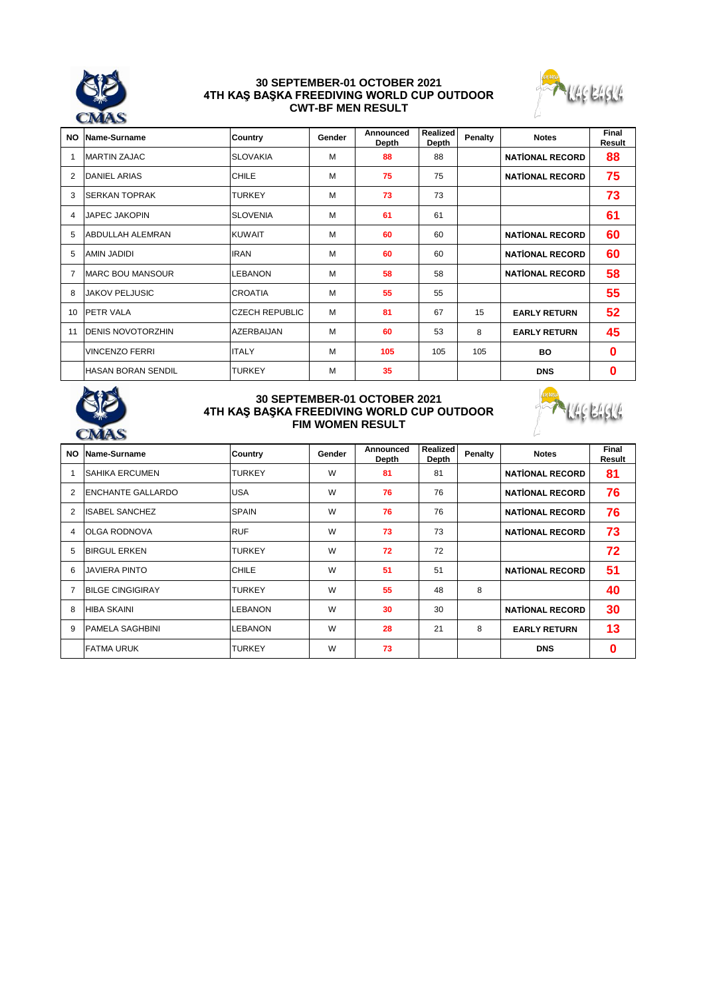

#### **30 SEPTEMBER-01 OCTOBER 2021 4TH KAŞ BAŞKA FREEDIVING WORLD CUP OUTDOOR CWT-BF MEN RESULT**



| <b>NO</b>      | Name-Surname              | <b>Country</b>        | Gender | Announced<br><b>Depth</b> | Realized<br><b>Depth</b> | Penalty | <b>Notes</b>           | <b>Final</b><br>Result |
|----------------|---------------------------|-----------------------|--------|---------------------------|--------------------------|---------|------------------------|------------------------|
|                | <b>MARTIN ZAJAC</b>       | <b>SLOVAKIA</b>       | M      | 88                        | 88                       |         | <b>NATIONAL RECORD</b> | 88                     |
| $\overline{2}$ | DANIEL ARIAS              | <b>CHILE</b>          | M      | 75                        | 75                       |         | <b>NATIONAL RECORD</b> | 75                     |
| 3              | <b>SERKAN TOPRAK</b>      | <b>TURKEY</b>         | M      | 73                        | 73                       |         |                        | 73                     |
| $\overline{4}$ | <b>JAPEC JAKOPIN</b>      | <b>SLOVENIA</b>       | M      | 61                        | 61                       |         |                        | 61                     |
| 5              | <b>ABDULLAH ALEMRAN</b>   | <b>KUWAIT</b>         | м      | 60                        | 60                       |         | <b>NATIONAL RECORD</b> | 60                     |
| 5              | AMIN JADIDI               | <b>IRAN</b>           | M      | 60                        | 60                       |         | <b>NATIONAL RECORD</b> | 60                     |
| 7              | <b>MARC BOU MANSOUR</b>   | <b>LEBANON</b>        | M      | 58                        | 58                       |         | <b>NATIONAL RECORD</b> | 58                     |
| 8              | <b>JAKOV PELJUSIC</b>     | <b>CROATIA</b>        | M      | 55                        | 55                       |         |                        | 55                     |
| 10             | <b>PETR VALA</b>          | <b>CZECH REPUBLIC</b> | м      | 81                        | 67                       | 15      | <b>EARLY RETURN</b>    | 52                     |
| 11             | <b>DENIS NOVOTORZHIN</b>  | AZERBAIJAN            | M      | 60                        | 53                       | 8       | <b>EARLY RETURN</b>    | 45                     |
|                | <b>VINCENZO FERRI</b>     | <b>ITALY</b>          | м      | 105                       | 105                      | 105     | <b>BO</b>              | $\bf{0}$               |
|                | <b>HASAN BORAN SENDIL</b> | <b>TURKEY</b>         | M      | 35                        |                          |         | <b>DNS</b>             | $\bf{0}$               |



### **30 SEPTEMBER-01 OCTOBER 2021 4TH KAŞ BAŞKA FREEDIVING WORLD CUP OUTDOOR FIM WOMEN RESULT**



| <b>NO</b>      | Name-Surname             | Country        | Gender | Announced<br>Depth | <b>Realized</b><br>Depth | Penalty | <b>Notes</b>           | Final<br>Result |
|----------------|--------------------------|----------------|--------|--------------------|--------------------------|---------|------------------------|-----------------|
|                | <b>SAHIKA ERCUMEN</b>    | <b>TURKEY</b>  | W      | 81                 | 81                       |         | <b>NATIONAL RECORD</b> | 81              |
| $\overline{2}$ | <b>ENCHANTE GALLARDO</b> | <b>USA</b>     | W      | 76                 | 76                       |         | <b>NATIONAL RECORD</b> | 76              |
| $\overline{2}$ | <b>ISABEL SANCHEZ</b>    | <b>SPAIN</b>   | W      | 76                 | 76                       |         | <b>NATIONAL RECORD</b> | 76              |
| 4              | <b>OLGA RODNOVA</b>      | <b>RUF</b>     | W      | 73                 | 73                       |         | <b>NATIONAL RECORD</b> | 73              |
| 5              | <b>BIRGUL ERKEN</b>      | <b>TURKEY</b>  | W      | 72                 | 72                       |         |                        | 72              |
| 6              | <b>JAVIERA PINTO</b>     | CHILE          | W      | 51                 | 51                       |         | <b>NATIONAL RECORD</b> | 51              |
| 7              | <b>BILGE CINGIGIRAY</b>  | <b>TURKEY</b>  | W      | 55                 | 48                       | 8       |                        | 40              |
| 8              | <b>HIBA SKAINI</b>       | <b>LEBANON</b> | W      | 30                 | 30                       |         | <b>NATIONAL RECORD</b> | 30              |
| 9              | <b>PAMELA SAGHBINI</b>   | <b>LEBANON</b> | W      | 28                 | 21                       | 8       | <b>EARLY RETURN</b>    | 13              |
|                | <b>FATMA URUK</b>        | <b>TURKEY</b>  | W      | 73                 |                          |         | <b>DNS</b>             | 0               |